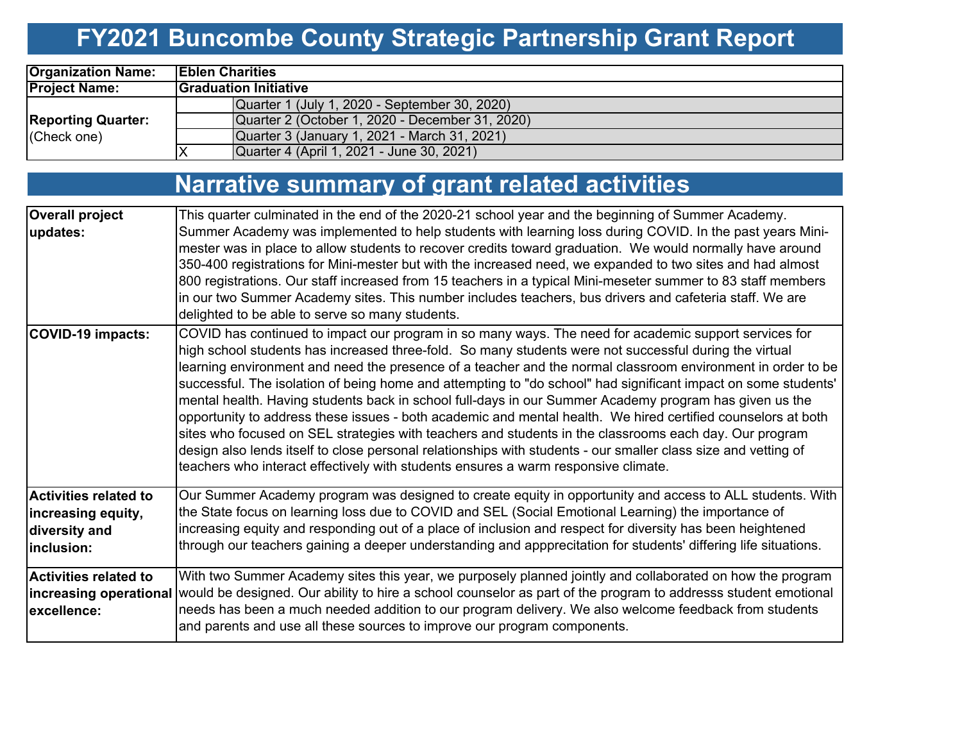# **FY2021 Buncombe County Strategic Partnership Grant Report**

| <b>Organization Name:</b>                | <b>IEblen Charities</b> |                                                 |  |  |  |  |  |  |
|------------------------------------------|-------------------------|-------------------------------------------------|--|--|--|--|--|--|
| <b>Project Name:</b>                     |                         | <b>Graduation Initiative</b>                    |  |  |  |  |  |  |
|                                          |                         | Quarter 1 (July 1, 2020 - September 30, 2020)   |  |  |  |  |  |  |
| <b>Reporting Quarter:</b><br>(Check one) |                         | Quarter 2 (October 1, 2020 - December 31, 2020) |  |  |  |  |  |  |
|                                          |                         | Quarter 3 (January 1, 2021 - March 31, 2021)    |  |  |  |  |  |  |
|                                          |                         | Quarter 4 (April 1, 2021 - June 30, 2021)       |  |  |  |  |  |  |

#### **Narrative summary of grant related activities**

| <b>Overall project</b>       | This quarter culminated in the end of the 2020-21 school year and the beginning of Summer Academy.                                                                                                                                                                                                                                                                                                                                                                                                                                                                                                                                                                                                                                                                                                                                                                                                                                                                                           |
|------------------------------|----------------------------------------------------------------------------------------------------------------------------------------------------------------------------------------------------------------------------------------------------------------------------------------------------------------------------------------------------------------------------------------------------------------------------------------------------------------------------------------------------------------------------------------------------------------------------------------------------------------------------------------------------------------------------------------------------------------------------------------------------------------------------------------------------------------------------------------------------------------------------------------------------------------------------------------------------------------------------------------------|
| updates:                     | Summer Academy was implemented to help students with learning loss during COVID. In the past years Mini-<br>mester was in place to allow students to recover credits toward graduation. We would normally have around<br>350-400 registrations for Mini-mester but with the increased need, we expanded to two sites and had almost                                                                                                                                                                                                                                                                                                                                                                                                                                                                                                                                                                                                                                                          |
|                              | 800 registrations. Our staff increased from 15 teachers in a typical Mini-meseter summer to 83 staff members                                                                                                                                                                                                                                                                                                                                                                                                                                                                                                                                                                                                                                                                                                                                                                                                                                                                                 |
|                              | in our two Summer Academy sites. This number includes teachers, bus drivers and cafeteria staff. We are                                                                                                                                                                                                                                                                                                                                                                                                                                                                                                                                                                                                                                                                                                                                                                                                                                                                                      |
|                              | delighted to be able to serve so many students.                                                                                                                                                                                                                                                                                                                                                                                                                                                                                                                                                                                                                                                                                                                                                                                                                                                                                                                                              |
| <b>COVID-19 impacts:</b>     | COVID has continued to impact our program in so many ways. The need for academic support services for<br>high school students has increased three-fold. So many students were not successful during the virtual<br>learning environment and need the presence of a teacher and the normal classroom environment in order to be<br>successful. The isolation of being home and attempting to "do school" had significant impact on some students'<br>mental health. Having students back in school full-days in our Summer Academy program has given us the<br>opportunity to address these issues - both academic and mental health. We hired certified counselors at both<br>sites who focused on SEL strategies with teachers and students in the classrooms each day. Our program<br>design also lends itself to close personal relationships with students - our smaller class size and vetting of<br>teachers who interact effectively with students ensures a warm responsive climate. |
| <b>Activities related to</b> | Our Summer Academy program was designed to create equity in opportunity and access to ALL students. With                                                                                                                                                                                                                                                                                                                                                                                                                                                                                                                                                                                                                                                                                                                                                                                                                                                                                     |
| increasing equity,           | the State focus on learning loss due to COVID and SEL (Social Emotional Learning) the importance of                                                                                                                                                                                                                                                                                                                                                                                                                                                                                                                                                                                                                                                                                                                                                                                                                                                                                          |
| diversity and<br>inclusion:  | increasing equity and responding out of a place of inclusion and respect for diversity has been heightened<br>through our teachers gaining a deeper understanding and appprecitation for students' differing life situations.                                                                                                                                                                                                                                                                                                                                                                                                                                                                                                                                                                                                                                                                                                                                                                |
|                              |                                                                                                                                                                                                                                                                                                                                                                                                                                                                                                                                                                                                                                                                                                                                                                                                                                                                                                                                                                                              |
| <b>Activities related to</b> | With two Summer Academy sites this year, we purposely planned jointly and collaborated on how the program                                                                                                                                                                                                                                                                                                                                                                                                                                                                                                                                                                                                                                                                                                                                                                                                                                                                                    |
|                              | increasing operational would be designed. Our ability to hire a school counselor as part of the program to addresss student emotional                                                                                                                                                                                                                                                                                                                                                                                                                                                                                                                                                                                                                                                                                                                                                                                                                                                        |
| excellence:                  | needs has been a much needed addition to our program delivery. We also welcome feedback from students<br>and parents and use all these sources to improve our program components.                                                                                                                                                                                                                                                                                                                                                                                                                                                                                                                                                                                                                                                                                                                                                                                                            |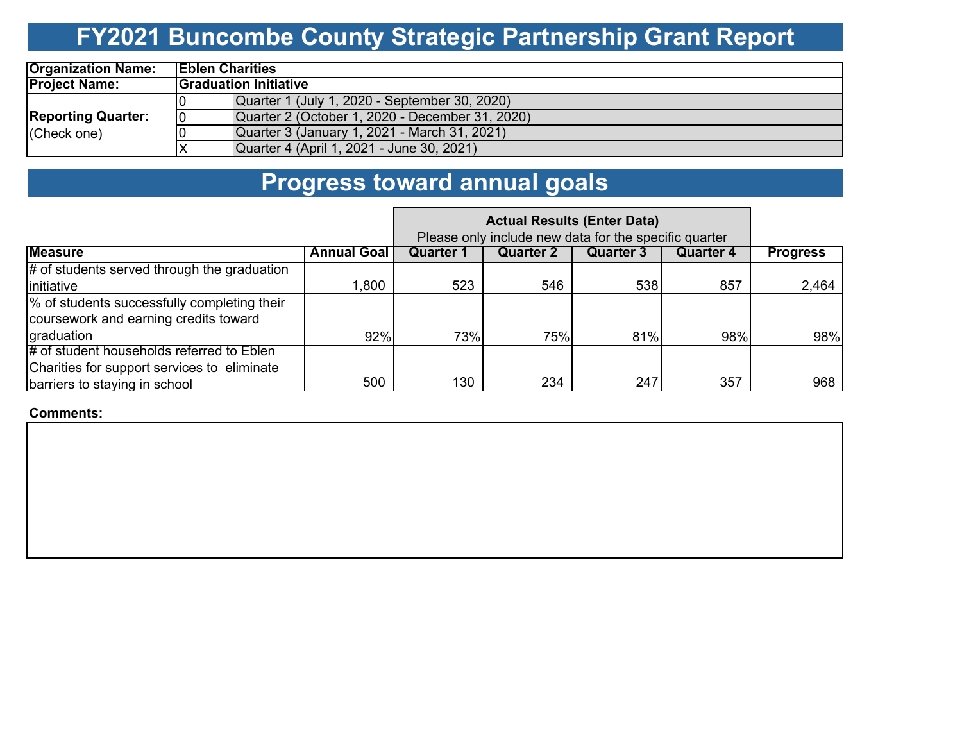## **FY2021 Buncombe County Strategic Partnership Grant Report**

| <b>Organization Name:</b> | <b>IEblen Charities</b> |                                                 |  |  |  |  |  |  |
|---------------------------|-------------------------|-------------------------------------------------|--|--|--|--|--|--|
| <b>Project Name:</b>      |                         | <b>Graduation Initiative</b>                    |  |  |  |  |  |  |
|                           |                         | Quarter 1 (July 1, 2020 - September 30, 2020)   |  |  |  |  |  |  |
| <b>Reporting Quarter:</b> | 10                      | Quarter 2 (October 1, 2020 - December 31, 2020) |  |  |  |  |  |  |
| (Check one)               |                         | Quarter 3 (January 1, 2021 - March 31, 2021)    |  |  |  |  |  |  |
|                           |                         | Quarter 4 (April 1, 2021 - June 30, 2021)       |  |  |  |  |  |  |

### **Progress toward annual goals**

|                                               | Please only include new data for the specific quarter |                  |           |           |           |                 |
|-----------------------------------------------|-------------------------------------------------------|------------------|-----------|-----------|-----------|-----------------|
| <b>Measure</b>                                | <b>Annual Goal</b>                                    | <b>Quarter 1</b> | Quarter 2 | Quarter 3 | Quarter 4 | <b>Progress</b> |
| $#$ of students served through the graduation |                                                       |                  |           |           |           |                 |
| initiative                                    | 1,800                                                 | 523              | 546       | 538       | 857       | 2,464           |
| % of students successfully completing their   |                                                       |                  |           |           |           |                 |
| coursework and earning credits toward         |                                                       |                  |           |           |           |                 |
| graduation                                    | 92%                                                   | 73%              | 75%       | 81%       | 98%       | 98%             |
| # of student households referred to Eblen     |                                                       |                  |           |           |           |                 |
| Charities for support services to eliminate   |                                                       |                  |           |           |           |                 |
| barriers to staying in school                 | 500                                                   | 130              | 234       | 247       | 357       | 968             |

**Comments:**